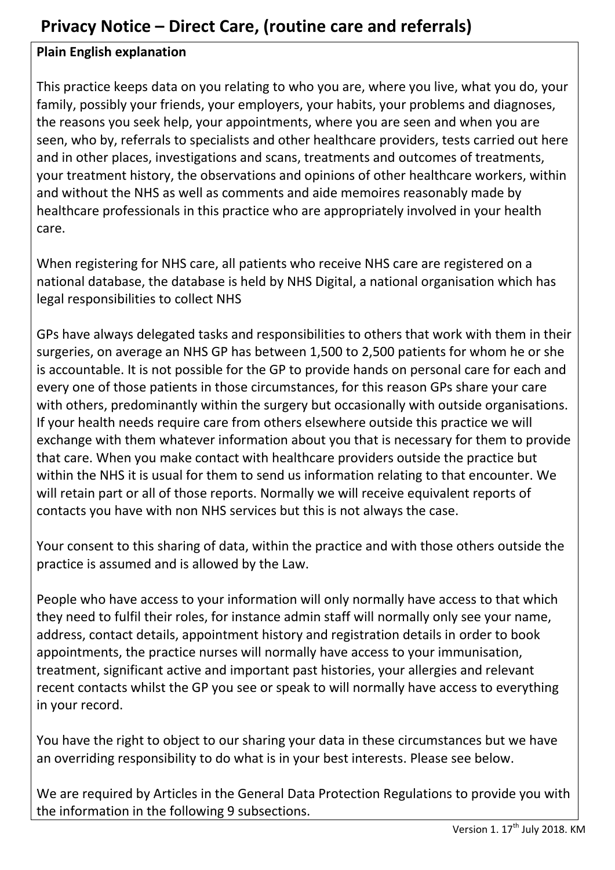## **Privacy Notice – Direct Care, (routine care and referrals)**

## **Plain English explanation**

This practice keeps data on you relating to who you are, where you live, what you do, your family, possibly your friends, your employers, your habits, your problems and diagnoses, the reasons you seek help, your appointments, where you are seen and when you are seen, who by, referrals to specialists and other healthcare providers, tests carried out here and in other places, investigations and scans, treatments and outcomes of treatments, your treatment history, the observations and opinions of other healthcare workers, within and without the NHS as well as comments and aide memoires reasonably made by healthcare professionals in this practice who are appropriately involved in your health care.

When registering for NHS care, all patients who receive NHS care are registered on a national database, the database is held by NHS Digital, a national organisation which has legal responsibilities to collect NHS

GPs have always delegated tasks and responsibilities to others that work with them in their surgeries, on average an NHS GP has between 1,500 to 2,500 patients for whom he or she is accountable. It is not possible for the GP to provide hands on personal care for each and every one of those patients in those circumstances, for this reason GPs share your care with others, predominantly within the surgery but occasionally with outside organisations. If your health needs require care from others elsewhere outside this practice we will exchange with them whatever information about you that is necessary for them to provide that care. When you make contact with healthcare providers outside the practice but within the NHS it is usual for them to send us information relating to that encounter. We will retain part or all of those reports. Normally we will receive equivalent reports of contacts you have with non NHS services but this is not always the case.

Your consent to this sharing of data, within the practice and with those others outside the practice is assumed and is allowed by the Law.

People who have access to your information will only normally have access to that which they need to fulfil their roles, for instance admin staff will normally only see your name, address, contact details, appointment history and registration details in order to book appointments, the practice nurses will normally have access to your immunisation, treatment, significant active and important past histories, your allergies and relevant recent contacts whilst the GP you see or speak to will normally have access to everything in your record.

You have the right to object to our sharing your data in these circumstances but we have an overriding responsibility to do what is in your best interests. Please see below.

We are required by Articles in the General Data Protection Regulations to provide you with the information in the following 9 subsections.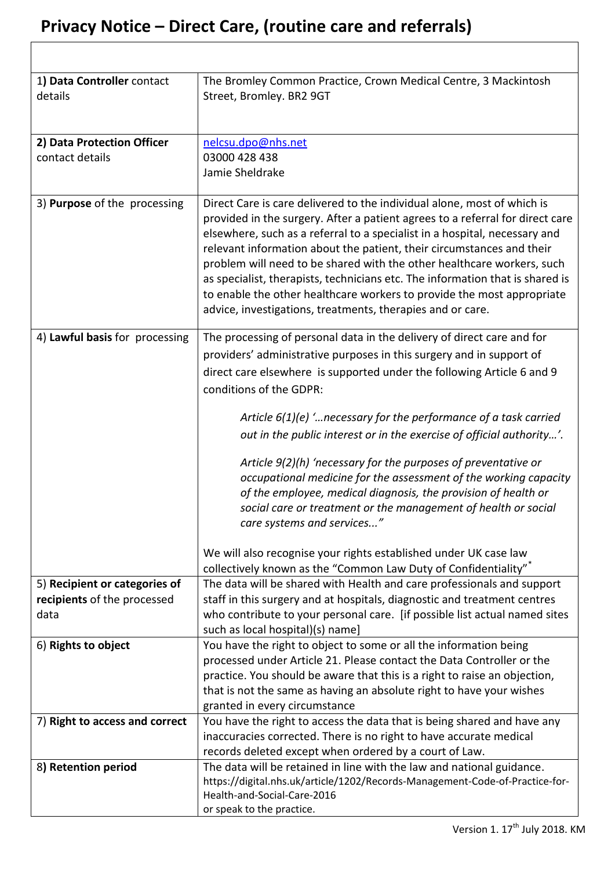| 1) Data Controller contact<br>details         | The Bromley Common Practice, Crown Medical Centre, 3 Mackintosh<br>Street, Bromley. BR2 9GT                                                                                                                                                                                                                                                                                                                                                                                                                                                                                                                                                                                                                                                                                     |
|-----------------------------------------------|---------------------------------------------------------------------------------------------------------------------------------------------------------------------------------------------------------------------------------------------------------------------------------------------------------------------------------------------------------------------------------------------------------------------------------------------------------------------------------------------------------------------------------------------------------------------------------------------------------------------------------------------------------------------------------------------------------------------------------------------------------------------------------|
| 2) Data Protection Officer<br>contact details | nelcsu.dpo@nhs.net<br>03000 428 438<br>Jamie Sheldrake                                                                                                                                                                                                                                                                                                                                                                                                                                                                                                                                                                                                                                                                                                                          |
| 3) Purpose of the processing                  | Direct Care is care delivered to the individual alone, most of which is<br>provided in the surgery. After a patient agrees to a referral for direct care<br>elsewhere, such as a referral to a specialist in a hospital, necessary and<br>relevant information about the patient, their circumstances and their<br>problem will need to be shared with the other healthcare workers, such<br>as specialist, therapists, technicians etc. The information that is shared is<br>to enable the other healthcare workers to provide the most appropriate<br>advice, investigations, treatments, therapies and or care.                                                                                                                                                              |
| 4) Lawful basis for processing                | The processing of personal data in the delivery of direct care and for<br>providers' administrative purposes in this surgery and in support of<br>direct care elsewhere is supported under the following Article 6 and 9<br>conditions of the GDPR:<br>Article $6(1)(e)$ " necessary for the performance of a task carried<br>out in the public interest or in the exercise of official authority'.<br>Article 9(2)(h) 'necessary for the purposes of preventative or<br>occupational medicine for the assessment of the working capacity<br>of the employee, medical diagnosis, the provision of health or<br>social care or treatment or the management of health or social<br>care systems and services"<br>We will also recognise your rights established under UK case law |
| 5) Recipient or categories of                 | collectively known as the "Common Law Duty of Confidentiality"<br>The data will be shared with Health and care professionals and support                                                                                                                                                                                                                                                                                                                                                                                                                                                                                                                                                                                                                                        |
| recipients of the processed<br>data           | staff in this surgery and at hospitals, diagnostic and treatment centres<br>who contribute to your personal care. [if possible list actual named sites<br>such as local hospital)(s) name]                                                                                                                                                                                                                                                                                                                                                                                                                                                                                                                                                                                      |
| 6) Rights to object                           | You have the right to object to some or all the information being<br>processed under Article 21. Please contact the Data Controller or the<br>practice. You should be aware that this is a right to raise an objection,<br>that is not the same as having an absolute right to have your wishes<br>granted in every circumstance                                                                                                                                                                                                                                                                                                                                                                                                                                                |
| 7) Right to access and correct                | You have the right to access the data that is being shared and have any<br>inaccuracies corrected. There is no right to have accurate medical                                                                                                                                                                                                                                                                                                                                                                                                                                                                                                                                                                                                                                   |
| 8) Retention period                           | records deleted except when ordered by a court of Law.<br>The data will be retained in line with the law and national guidance.<br>https://digital.nhs.uk/article/1202/Records-Management-Code-of-Practice-for-<br>Health-and-Social-Care-2016<br>or speak to the practice.                                                                                                                                                                                                                                                                                                                                                                                                                                                                                                     |